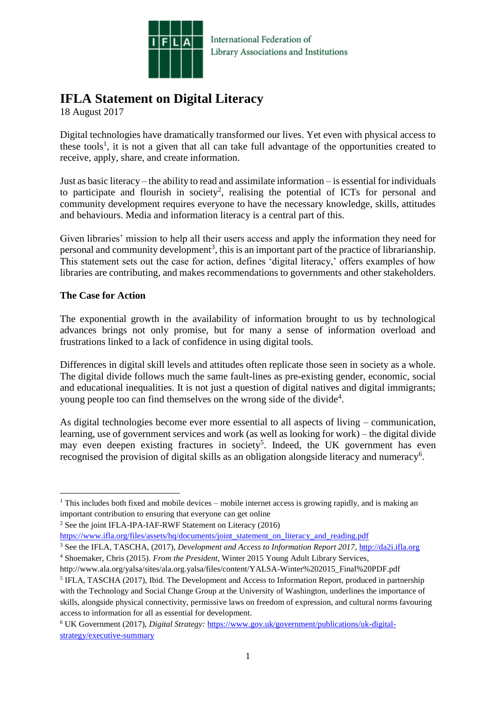

# **IFLA Statement on Digital Literacy**

18 August 2017

Digital technologies have dramatically transformed our lives. Yet even with physical access to these tools<sup>1</sup>, it is not a given that all can take full advantage of the opportunities created to receive, apply, share, and create information.

Just as basic literacy – the ability to read and assimilate information – is essential for individuals to participate and flourish in society<sup>2</sup>, realising the potential of ICTs for personal and community development requires everyone to have the necessary knowledge, skills, attitudes and behaviours. Media and information literacy is a central part of this.

Given libraries' mission to help all their users access and apply the information they need for personal and community development<sup>3</sup>, this is an important part of the practice of librarianship. This statement sets out the case for action, defines 'digital literacy,' offers examples of how libraries are contributing, and makes recommendations to governments and other stakeholders.

## **The Case for Action**

The exponential growth in the availability of information brought to us by technological advances brings not only promise, but for many a sense of information overload and frustrations linked to a lack of confidence in using digital tools.

Differences in digital skill levels and attitudes often replicate those seen in society as a whole. The digital divide follows much the same fault-lines as pre-existing gender, economic, social and educational inequalities. It is not just a question of digital natives and digital immigrants; young people too can find themselves on the wrong side of the divide<sup>4</sup>.

As digital technologies become ever more essential to all aspects of living – communication, learning, use of government services and work (as well as looking for work) – the digital divide may even deepen existing fractures in society<sup>5</sup>. Indeed, the UK government has even recognised the provision of digital skills as an obligation alongside literacy and numeracy<sup>6</sup>.

**<sup>.</sup>** <sup>1</sup> This includes both fixed and mobile devices – mobile internet access is growing rapidly, and is making an important contribution to ensuring that everyone can get online

<sup>2</sup> See the joint IFLA-IPA-IAF-RWF Statement on Literacy (2016)

[https://www.ifla.org/files/assets/hq/documents/joint\\_statement\\_on\\_literacy\\_and\\_reading.pdf](https://www.ifla.org/files/assets/hq/documents/joint_statement_on_literacy_and_reading.pdf)

<sup>&</sup>lt;sup>3</sup> See the IFLA, TASCHA, (2017), *Development and Access to Information Report 2017*, [http://da2i.ifla.org](http://da2i.ifla.org/) <sup>4</sup> Shoemaker, Chris (2015). *From the President*, Winter 2015 Young Adult Library Services,

http://www.ala.org/yalsa/sites/ala.org.yalsa/files/content/YALSA-Winter%202015\_Final%20PDF.pdf <sup>5</sup> IFLA, TASCHA (2017), Ibid. The Development and Access to Information Report, produced in partnership with the Technology and Social Change Group at the University of Washington, underlines the importance of skills, alongside physical connectivity, permissive laws on freedom of expression, and cultural norms favouring access to information for all as essential for development.

<sup>6</sup> UK Government (2017), *Digital Strategy:* [https://www.gov.uk/government/publications/uk-digital](https://www.gov.uk/government/publications/uk-digital-strategy/executive-summary)[strategy/executive-summary](https://www.gov.uk/government/publications/uk-digital-strategy/executive-summary)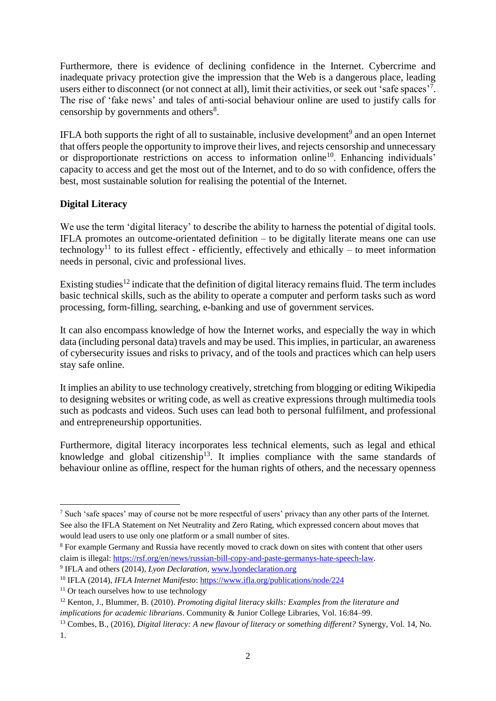Furthermore, there is evidence of declining confidence in the Internet. Cybercrime and inadequate privacy protection give the impression that the Web is a dangerous place, leading users either to disconnect (or not connect at all), limit their activities, or seek out 'safe spaces'<sup>7</sup>. The rise of 'fake news' and tales of anti-social behaviour online are used to justify calls for censorship by governments and others<sup>8</sup>.

IFLA both supports the right of all to sustainable, inclusive development<sup>9</sup> and an open Internet that offers people the opportunity to improve their lives, and rejects censorship and unnecessary or disproportionate restrictions on access to information online<sup>10</sup>. Enhancing individuals' capacity to access and get the most out of the Internet, and to do so with confidence, offers the best, most sustainable solution for realising the potential of the Internet.

# **Digital Literacy**

We use the term 'digital literacy' to describe the ability to harness the potential of digital tools. IFLA promotes an outcome-orientated definition – to be digitally literate means one can use technology<sup>11</sup> to its fullest effect - efficiently, effectively and ethically – to meet information needs in personal, civic and professional lives.

Existing studies<sup>12</sup> indicate that the definition of digital literacy remains fluid. The term includes basic technical skills, such as the ability to operate a computer and perform tasks such as word processing, form-filling, searching, e-banking and use of government services.

It can also encompass knowledge of how the Internet works, and especially the way in which data (including personal data) travels and may be used. This implies, in particular, an awareness of cybersecurity issues and risks to privacy, and of the tools and practices which can help users stay safe online.

It implies an ability to use technology creatively, stretching from blogging or editing Wikipedia to designing websites or writing code, as well as creative expressions through multimedia tools such as podcasts and videos. Such uses can lead both to personal fulfilment, and professional and entrepreneurship opportunities.

Furthermore, digital literacy incorporates less technical elements, such as legal and ethical knowledge and global citizenship<sup>13</sup>. It implies compliance with the same standards of behaviour online as offline, respect for the human rights of others, and the necessary openness

1

<sup>&</sup>lt;sup>7</sup> Such 'safe spaces' may of course not be more respectful of users' privacy than any other parts of the Internet. See also the IFLA Statement on Net Neutrality and Zero Rating, which expressed concern about moves that would lead users to use only one platform or a small number of sites.

<sup>&</sup>lt;sup>8</sup> For example Germany and Russia have recently moved to crack down on sites with content that other users claim is illegal: [https://rsf.org/en/news/russian-bill-copy-and-paste-germanys-hate-speech-law.](https://rsf.org/en/news/russian-bill-copy-and-paste-germanys-hate-speech-law)

<sup>&</sup>lt;sup>9</sup> IFLA and others (2014), *Lyon Declaration*, [www.lyondeclaration.org](http://www.lyondeclaration.org/)

<sup>10</sup> IFLA (2014), *IFLA Internet Manifesto*:<https://www.ifla.org/publications/node/224>

 $11$  Or teach ourselves how to use technology

<sup>12</sup> Kenton, J., Blummer, B. (2010). *Promoting digital literacy skills: Examples from the literature and implications for academic librarians*. Community & Junior College Libraries, Vol. 16:84–99.

<sup>13</sup> Combes, B., (2016), *Digital literacy: A new flavour of literacy or something different?* Synergy, Vol. 14, No. 1.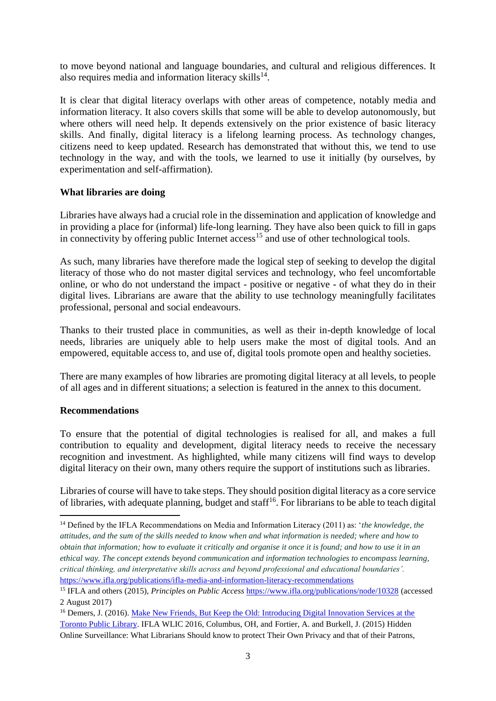to move beyond national and language boundaries, and cultural and religious differences. It also requires media and information literacy skills $^{14}$ .

It is clear that digital literacy overlaps with other areas of competence, notably media and information literacy. It also covers skills that some will be able to develop autonomously, but where others will need help. It depends extensively on the prior existence of basic literacy skills. And finally, digital literacy is a lifelong learning process. As technology changes, citizens need to keep updated. Research has demonstrated that without this, we tend to use technology in the way, and with the tools, we learned to use it initially (by ourselves, by experimentation and self-affirmation).

#### **What libraries are doing**

Libraries have always had a crucial role in the dissemination and application of knowledge and in providing a place for (informal) life-long learning. They have also been quick to fill in gaps in connectivity by offering public Internet  $access^{15}$  and use of other technological tools.

As such, many libraries have therefore made the logical step of seeking to develop the digital literacy of those who do not master digital services and technology, who feel uncomfortable online, or who do not understand the impact - positive or negative - of what they do in their digital lives. Librarians are aware that the ability to use technology meaningfully facilitates professional, personal and social endeavours.

Thanks to their trusted place in communities, as well as their in-depth knowledge of local needs, libraries are uniquely able to help users make the most of digital tools. And an empowered, equitable access to, and use of, digital tools promote open and healthy societies.

There are many examples of how libraries are promoting digital literacy at all levels, to people of all ages and in different situations; a selection is featured in the annex to this document.

## **Recommendations**

**.** 

To ensure that the potential of digital technologies is realised for all, and makes a full contribution to equality and development, digital literacy needs to receive the necessary recognition and investment. As highlighted, while many citizens will find ways to develop digital literacy on their own, many others require the support of institutions such as libraries.

Libraries of course will have to take steps. They should position digital literacy as a core service of libraries, with adequate planning, budget and staff<sup>16</sup>. For librarians to be able to teach digital

<sup>14</sup> Defined by the IFLA Recommendations on Media and Information Literacy (2011) as: '*the knowledge, the attitudes, and the sum of the skills needed to know when and what information is needed; where and how to obtain that information; how to evaluate it critically and organise it once it is found; and how to use it in an ethical way. The concept extends beyond communication and information technologies to encompass learning, critical thinking, and interpretative skills across and beyond professional and educational boundaries'.*  <https://www.ifla.org/publications/ifla-media-and-information-literacy-recommendations>

<sup>15</sup> IFLA and others (2015), *Principles on Public Access* <https://www.ifla.org/publications/node/10328> (accessed 2 August 2017)

<sup>&</sup>lt;sup>16</sup> Demers, J. (2016). Make New Friends, But Keep the Old: Introducing Digital Innovation Services at the [Toronto Public Library.](http://library.ifla.org/1361/1/213-demers-en.pdf) IFLA WLIC 2016, Columbus, OH, and Fortier, A. and Burkell, J. (2015) Hidden Online Surveillance: What Librarians Should know to protect Their Own Privacy and that of their Patrons,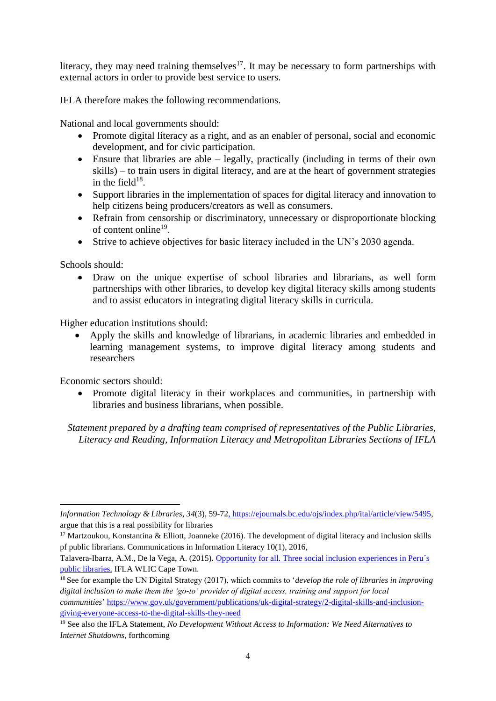literacy, they may need training themselves<sup>17</sup>. It may be necessary to form partnerships with external actors in order to provide best service to users.

IFLA therefore makes the following recommendations.

National and local governments should:

- Promote digital literacy as a right, and as an enabler of personal, social and economic development, and for civic participation.
- Ensure that libraries are able  $-$  legally, practically (including in terms of their own skills) – to train users in digital literacy, and are at the heart of government strategies in the field $18$ .
- Support libraries in the implementation of spaces for digital literacy and innovation to help citizens being producers/creators as well as consumers.
- Refrain from censorship or discriminatory, unnecessary or disproportionate blocking of content online<sup>19</sup>.
- Strive to achieve objectives for basic literacy included in the UN's 2030 agenda.

Schools should:

• Draw on the unique expertise of school libraries and librarians, as well form partnerships with other libraries, to develop key digital literacy skills among students and to assist educators in integrating digital literacy skills in curricula.

Higher education institutions should:

• Apply the skills and knowledge of librarians, in academic libraries and embedded in learning management systems, to improve digital literacy among students and researchers

Economic sectors should:

1

• Promote digital literacy in their workplaces and communities, in partnership with libraries and business librarians, when possible.

*Statement prepared by a drafting team comprised of representatives of the Public Libraries, Literacy and Reading, Information Literacy and Metropolitan Libraries Sections of IFLA*

*Information Technology & Libraries*, *34*(3), 59-72, [https://ejournals.bc.edu/ojs/index.php/ital/article/view/5495,](https://ejournals.bc.edu/ojs/index.php/ital/article/view/5495) argue that this is a real possibility for libraries

<sup>&</sup>lt;sup>17</sup> Martzoukou, Konstantina & Elliott, Joanneke (2016). The development of digital literacy and inclusion skills pf public librarians. Communications in Information Literacy 10(1), 2016,

Talavera-Ibarra, A.M., De la Vega, A. (2015). [Opportunity for all. Three social inclusion experiences in Peru´s](http://library.ifla.org/1179/7/165-talavera-en.pdf)  [public libraries.](http://library.ifla.org/1179/7/165-talavera-en.pdf) IFLA WLIC Cape Town.

<sup>18</sup> See for example the UN Digital Strategy (2017), which commits to '*develop the role of libraries in improving digital inclusion to make them the 'go-to' provider of digital access, training and support for local communities*' [https://www.gov.uk/government/publications/uk-digital-strategy/2-digital-skills-and-inclusion](https://www.gov.uk/government/publications/uk-digital-strategy/2-digital-skills-and-inclusion-giving-everyone-access-to-the-digital-skills-they-need)[giving-everyone-access-to-the-digital-skills-they-need](https://www.gov.uk/government/publications/uk-digital-strategy/2-digital-skills-and-inclusion-giving-everyone-access-to-the-digital-skills-they-need)

<sup>19</sup> See also the IFLA Statement, *No Development Without Access to Information: We Need Alternatives to Internet Shutdowns*, forthcoming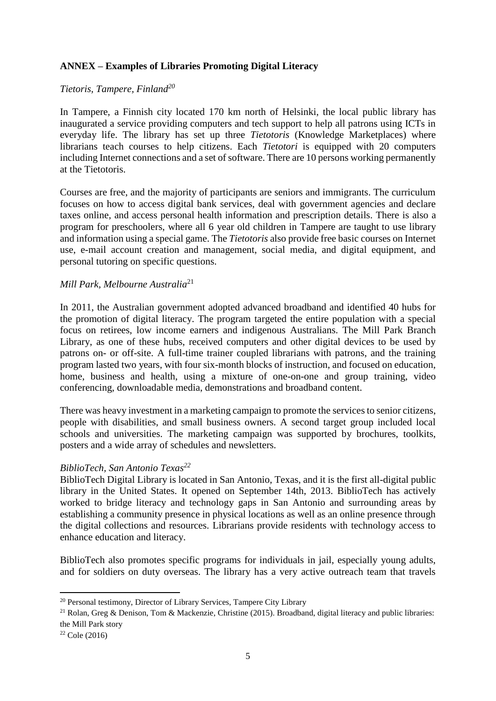## **ANNEX – Examples of Libraries Promoting Digital Literacy**

#### *Tietoris, Tampere, Finland<sup>20</sup>*

In Tampere, a Finnish city located 170 km north of Helsinki, the local public library has inaugurated a service providing computers and tech support to help all patrons using ICTs in everyday life. The library has set up three *Tietotoris* (Knowledge Marketplaces) where librarians teach courses to help citizens. Each *Tietotori* is equipped with 20 computers including Internet connections and a set of software. There are 10 persons working permanently at the Tietotoris.

Courses are free, and the majority of participants are seniors and immigrants. The curriculum focuses on how to access digital bank services, deal with government agencies and declare taxes online, and access personal health information and prescription details. There is also a program for preschoolers, where all 6 year old children in Tampere are taught to use library and information using a special game. The *Tietotoris* also provide free basic courses on Internet use, e-mail account creation and management, social media, and digital equipment, and personal tutoring on specific questions.

#### *Mill Park, Melbourne Australia*<sup>21</sup>

In 2011, the Australian government adopted advanced broadband and identified 40 hubs for the promotion of digital literacy. The program targeted the entire population with a special focus on retirees, low income earners and indigenous Australians. The Mill Park Branch Library, as one of these hubs, received computers and other digital devices to be used by patrons on- or off-site. A full-time trainer coupled librarians with patrons, and the training program lasted two years, with four six-month blocks of instruction, and focused on education, home, business and health, using a mixture of one-on-one and group training, video conferencing, downloadable media, demonstrations and broadband content.

There was heavy investment in a marketing campaign to promote the services to senior citizens, people with disabilities, and small business owners. A second target group included local schools and universities. The marketing campaign was supported by brochures, toolkits, posters and a wide array of schedules and newsletters.

#### *BiblioTech, San Antonio Texas<sup>22</sup>*

BiblioTech Digital Library is located in San Antonio, Texas, and it is the first all-digital public library in the United States. It opened on September 14th, 2013. BiblioTech has actively worked to bridge literacy and technology gaps in San Antonio and surrounding areas by establishing a community presence in physical locations as well as an online presence through the digital collections and resources. Librarians provide residents with technology access to enhance education and literacy.

BiblioTech also promotes specific programs for individuals in jail, especially young adults, and for soldiers on duty overseas. The library has a very active outreach team that travels

 $\overline{\phantom{a}}$ 

<sup>&</sup>lt;sup>20</sup> Personal testimony, Director of Library Services, Tampere City Library

<sup>&</sup>lt;sup>21</sup> Rolan, Greg & Denison, Tom & Mackenzie, Christine (2015). Broadband, digital literacy and public libraries: the Mill Park story

 $22$  Cole (2016)